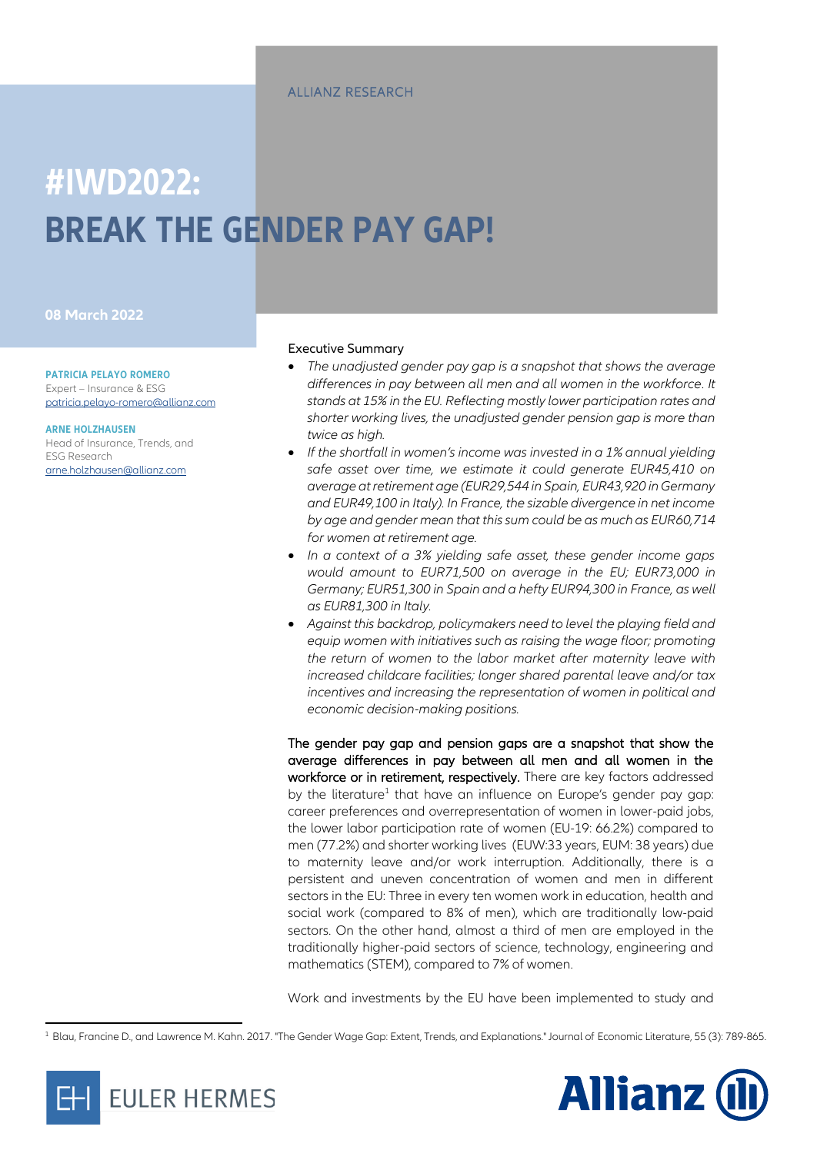# **#IWD2022: BREAK THE GENDER PAY GAP!**

#### **08 March 2022**

**PATRICIA PELAYO ROMERO**

Expert – Insurance & ESG [patricia.pelayo-romero@allianz.com](mailto:patricia.pelayo-romero@allianz.com)

**ARNE HOLZHAUSEN** Head of Insurance, Trends, and ESG Research [arne.holzhausen@allianz.com](mailto:arne.holzhausen@allianz.com)

#### Executive Summary

- *The unadjusted gender pay gap is a snapshot that shows the average differences in pay between all men and all women in the workforce. It stands at 15% in the EU. Reflecting mostly lower participation rates and shorter working lives, the unadjusted gender pension gap is more than twice as high.*
- *If the shortfall in women's income was invested in a 1% annual yielding safe asset over time, we estimate it could generate EUR45,410 on average at retirement age (EUR29,544 in Spain, EUR43,920 in Germany and EUR49,100 in Italy). In France, the sizable divergence in net income by age and gender mean that this sum could be as much as EUR60,714 for women at retirement age.*
- *In a context of a 3% yielding safe asset, these gender income gaps would amount to EUR71,500 on average in the EU; EUR73,000 in Germany; EUR51,300 in Spain and a hefty EUR94,300 in France, as well as EUR81,300 in Italy.*
- *Against this backdrop, policymakers need to level the playing field and equip women with initiatives such as raising the wage floor; promoting the return of women to the labor market after maternity leave with increased childcare facilities; longer shared parental leave and/or tax incentives and increasing the representation of women in political and economic decision-making positions.*

The gender pay gap and pension gaps are a snapshot that show the average differences in pay between all men and all women in the workforce or in retirement, respectively. There are key factors addressed by the literature<sup>1</sup> that have an influence on Europe's gender pay gap: career preferences and overrepresentation of women in lower-paid jobs, the lower labor participation rate of women (EU-19: 66.2%) compared to men (77.2%) and shorter working lives (EUW:33 years, EUM: 38 years) due to maternity leave and/or work interruption. Additionally, there is a persistent and uneven concentration of women and men in different sectors in the EU: Three in every ten women work in education, health and social work (compared to 8% of men), which are traditionally low-paid sectors. On the other hand, almost a third of men are employed in the traditionally higher-paid sectors of science, technology, engineering and mathematics (STEM), compared to 7% of women.

Work and investments by the EU have been implemented to study and

<sup>1</sup> Blau, Francine D., and Lawrence M. Kahn. 2017. "The Gender Wage Gap: Extent, Trends, and Explanations." Journal of Economic Literature, 55 (3): 789-865.



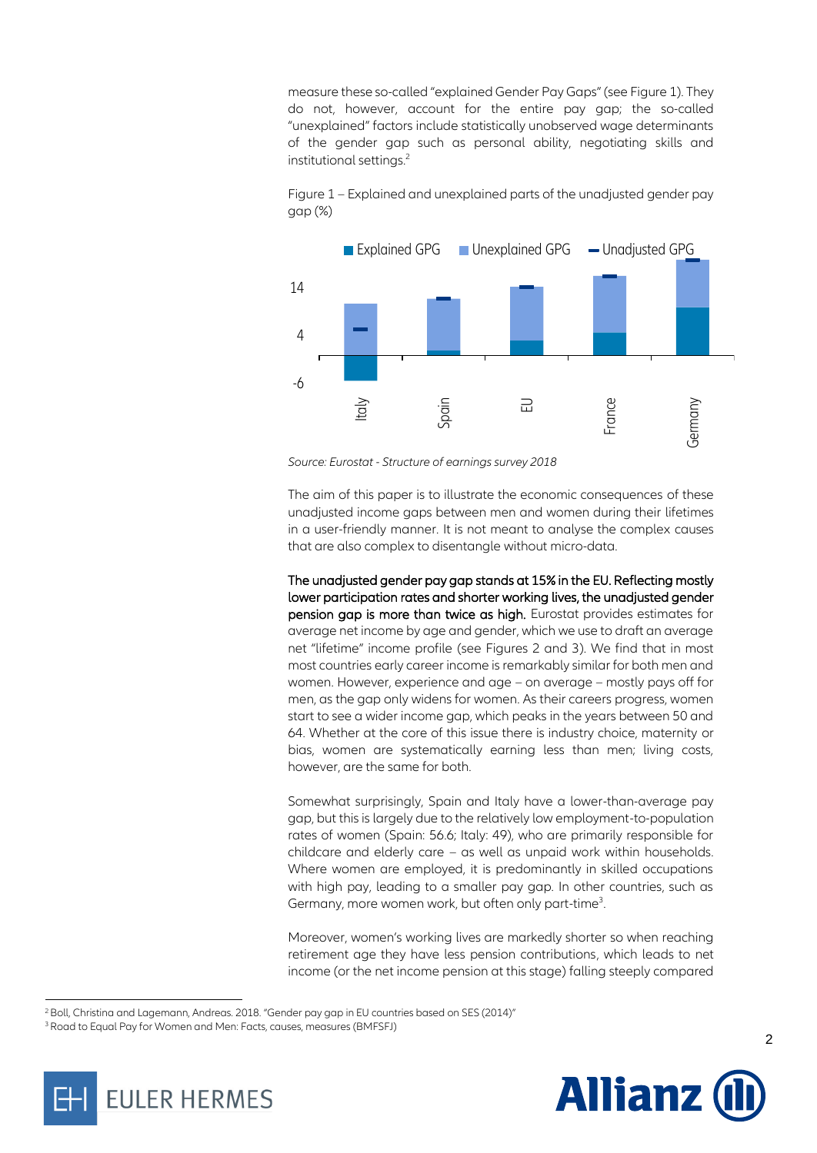measure these so-called "explained Gender Pay Gaps" (see Figure 1). They do not, however, account for the entire pay gap; the so-called "unexplained" factors include statistically unobserved wage determinants of the gender gap such as personal ability, negotiating skills and institutional settings.<sup>2</sup>

Figure 1 – Explained and unexplained parts of the unadjusted gender pay gap (%)



*Source: Eurostat - Structure of earnings survey 2018*

The aim of this paper is to illustrate the economic consequences of these unadjusted income gaps between men and women during their lifetimes in a user-friendly manner. It is not meant to analyse the complex causes that are also complex to disentangle without micro-data.

The unadjusted gender pay gap stands at 15% in the EU. Reflecting mostly lower participation rates and shorter working lives, the unadjusted gender pension gap is more than twice as high. Eurostat provides estimates for average net income by age and gender, which we use to draft an average net "lifetime" income profile (see Figures 2 and 3). We find that in most most countries early career income is remarkably similar for both men and women. However, experience and age – on average – mostly pays off for men, as the gap only widens for women. As their careers progress, women start to see a wider income gap, which peaks in the years between 50 and 64. Whether at the core of this issue there is industry choice, maternity or bias, women are systematically earning less than men; living costs, however, are the same for both.

Somewhat surprisingly, Spain and Italy have a lower-than-average pay gap, but this is largely due to the relatively low employment-to-population rates of women (Spain: 56.6; Italy: 49), who are primarily responsible for childcare and elderly care – as well as unpaid work within households. Where women are employed, it is predominantly in skilled occupations with high pay, leading to a smaller pay gap. In other countries, such as Germany, more women work, but often only part-time<sup>3</sup>. .

Moreover, women's working lives are markedly shorter so when reaching retirement age they have less pension contributions, which leads to net income (or the net income pension at this stage) falling steeply compared





<sup>&</sup>lt;sup>2</sup> Boll, Christina and Lagemann, Andreas. 2018. "Gender pay gap in EU countries based on SES (2014)"

<sup>3</sup>Road to Equal Pay for Women and Men: Facts, causes, measures (BMFSFJ)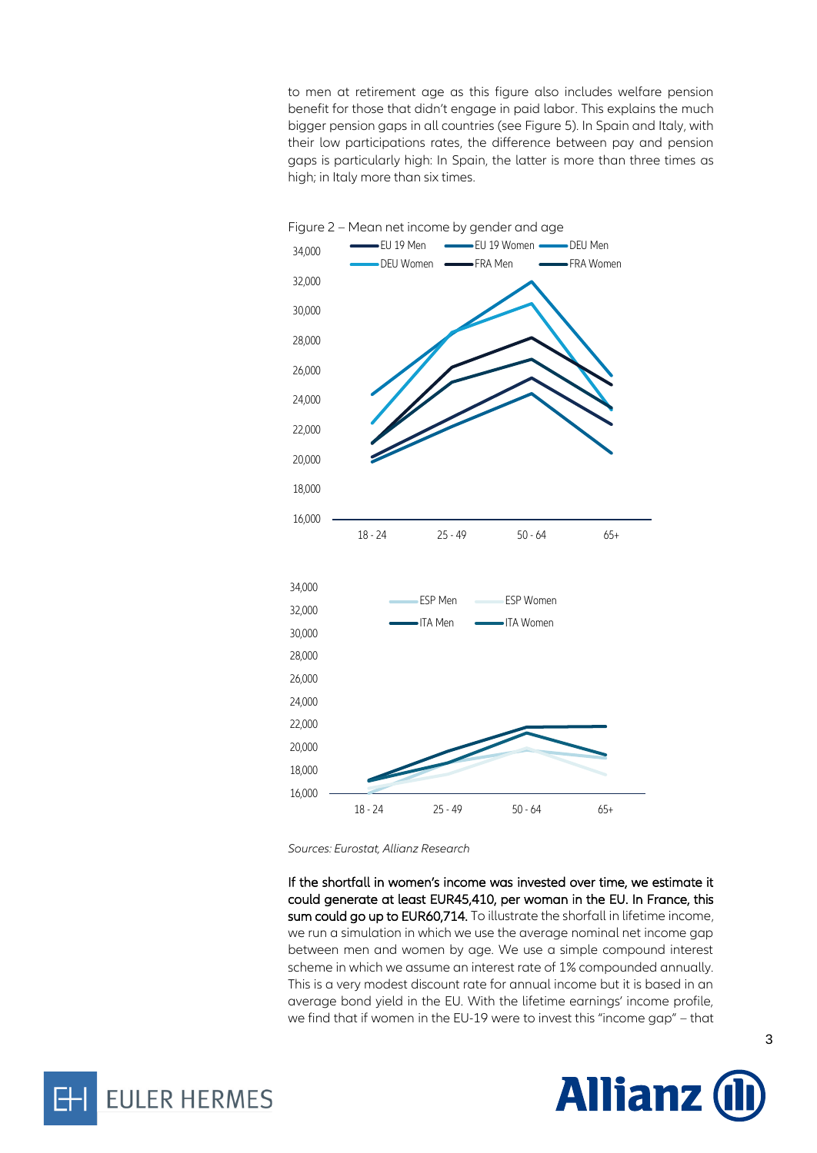to men at retirement age as this figure also includes welfare pension benefit for those that didn't engage in paid labor. This explains the much bigger pension gaps in all countries (see Figure 5). In Spain and Italy, with their low participations rates, the difference between pay and pension gaps is particularly high: In Spain, the latter is more than three times as high; in Italy more than six times.



*Sources: Eurostat, Allianz Research*

If the shortfall in women's income was invested over time, we estimate it could generate at least EUR45,410, per woman in the EU. In France, this sum could go up to EUR60,714. To illustrate the shorfall in lifetime income, we run a simulation in which we use the average nominal net income gap between men and women by age. We use a simple compound interest scheme in which we assume an interest rate of 1% compounded annually. This is a very modest discount rate for annual income but it is based in an average bond yield in the EU. With the lifetime earnings' income profile, we find that if women in the EU-19 were to invest this "income gap" – that



**EULER HERMES**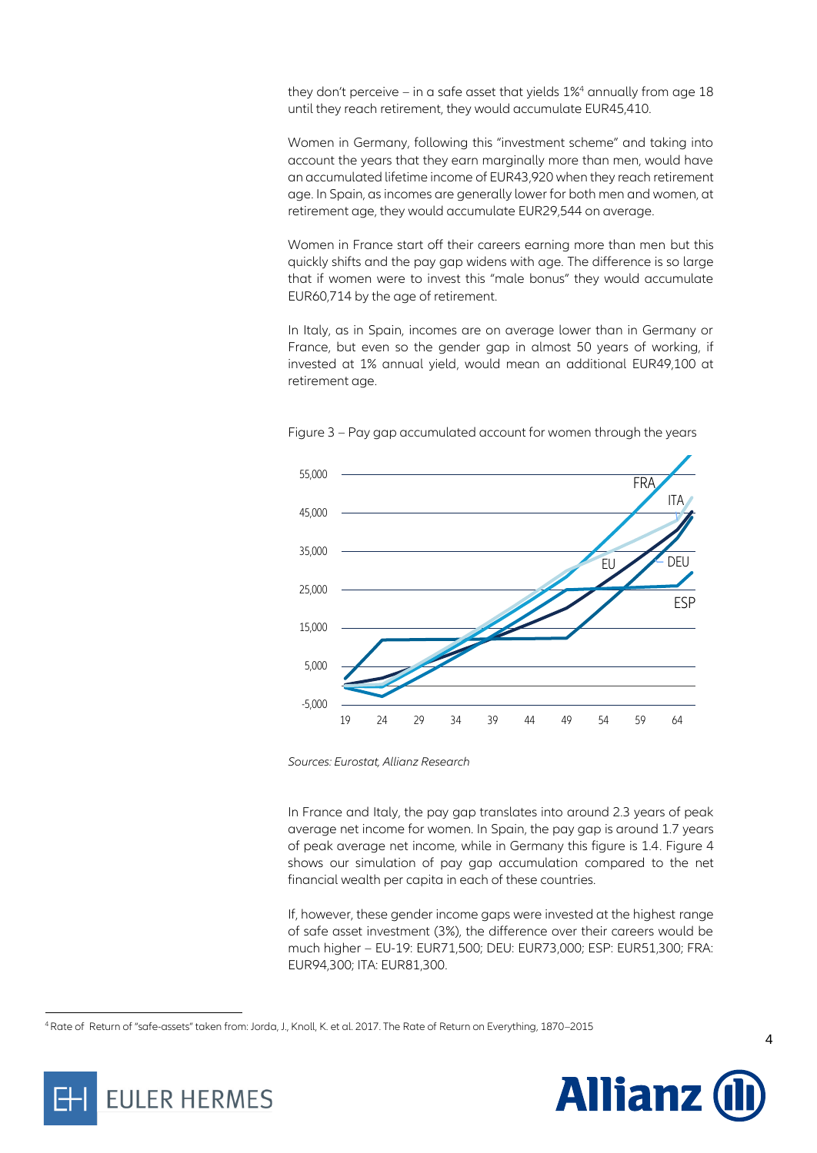they don't perceive – in a safe asset that yields  $1\%$ <sup>4</sup> annually from age  $18$ until they reach retirement, they would accumulate EUR45,410.

Women in Germany, following this "investment scheme" and taking into account the years that they earn marginally more than men, would have an accumulated lifetime income of EUR43,920 when they reach retirement age. In Spain, as incomes are generally lower for both men and women, at retirement age, they would accumulate EUR29,544 on average.

Women in France start off their careers earning more than men but this quickly shifts and the pay gap widens with age. The difference is so large that if women were to invest this "male bonus" they would accumulate EUR60,714 by the age of retirement.

In Italy, as in Spain, incomes are on average lower than in Germany or France, but even so the gender gap in almost 50 years of working, if invested at 1% annual yield, would mean an additional EUR49,100 at retirement age.



Figure 3 – Pay gap accumulated account for women through the years

In France and Italy, the pay gap translates into around 2.3 years of peak average net income for women. In Spain, the pay gap is around 1.7 years of peak average net income, while in Germany this figure is 1.4. Figure 4 shows our simulation of pay gap accumulation compared to the net financial wealth per capita in each of these countries.

If, however, these gender income gaps were invested at the highest range of safe asset investment (3%), the difference over their careers would be much higher – EU-19: EUR71,500; DEU: EUR73,000; ESP: EUR51,300; FRA: EUR94,300; ITA: EUR81,300.

<sup>4</sup>Rate of Return of "safe-assets" taken from: Jorda, J., Knoll, K. et al. 2017. The Rate of Return on Everything, 1870–2015





*Sources: Eurostat, Allianz Research*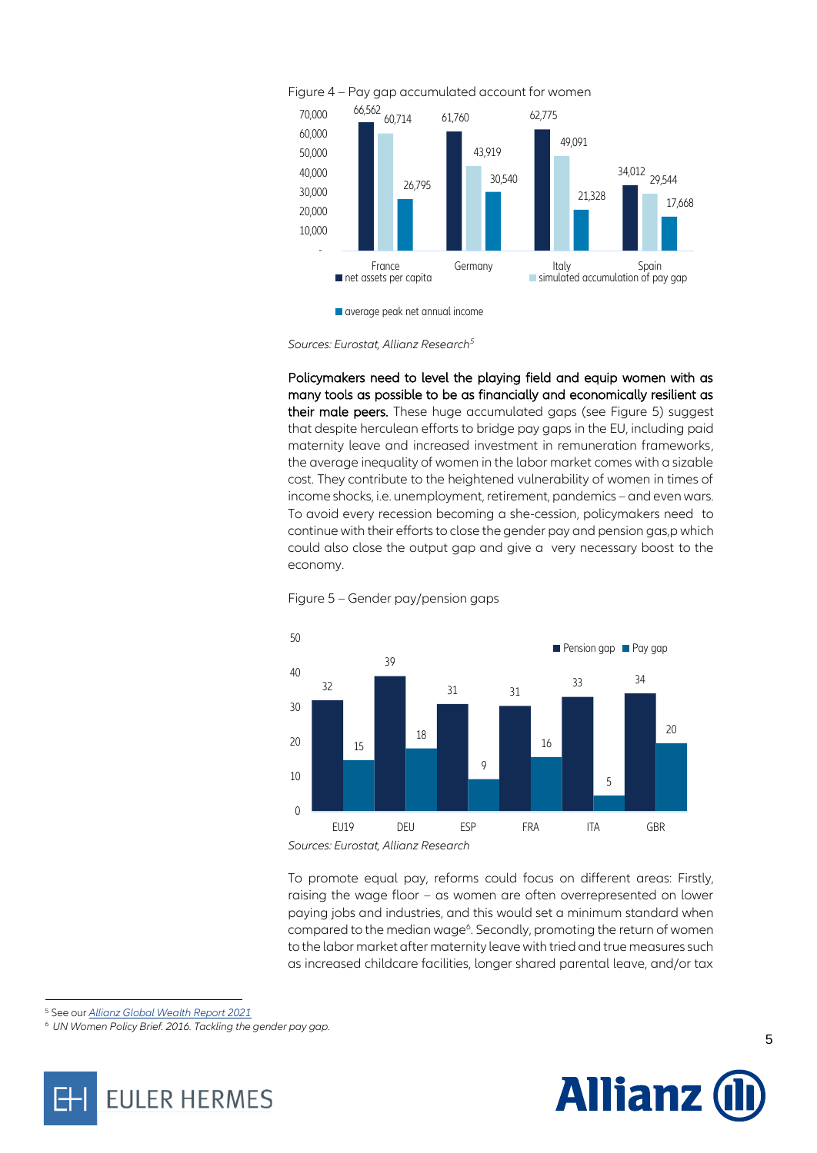

*Sources: Eurostat, Allianz Research<sup>5</sup>*

Policymakers need to level the playing field and equip women with as many tools as possible to be as financially and economically resilient as their male peers.These huge accumulated gaps (see Figure 5) suggest that despite herculean efforts to bridge pay gaps in the EU, including paid maternity leave and increased investment in remuneration frameworks, the average inequality of women in the labor market comes with a sizable cost. They contribute to the heightened vulnerability of women in times of income shocks, i.e. unemployment, retirement, pandemics – and even wars. To avoid every recession becoming a she-cession, policymakers need to continue with their efforts to close the gender pay and pension gas,p which could also close the output gap and give a very necessary boost to the economy.





*Sources: Eurostat, Allianz Research*

To promote equal pay, reforms could focus on different areas: Firstly, raising the wage floor – as women are often overrepresented on lower paying jobs and industries, and this would set a minimum standard when compared to the median wage<sup>6</sup>. Secondly, promoting the return of women to the labor market after maternity leave with tried and true measures such as increased childcare facilities, longer shared parental leave, and/or tax

<sup>5</sup> See our *[Allianz Global Wealth Report 2021](https://www.allianz.com/en/economic_research/publications/specials_fmo/2021_10_07_AllianzGlobalWealthReport2021.html)*

<sup>6</sup> *UN Women Policy Brief. 2016. Tackling the gender pay gap.*



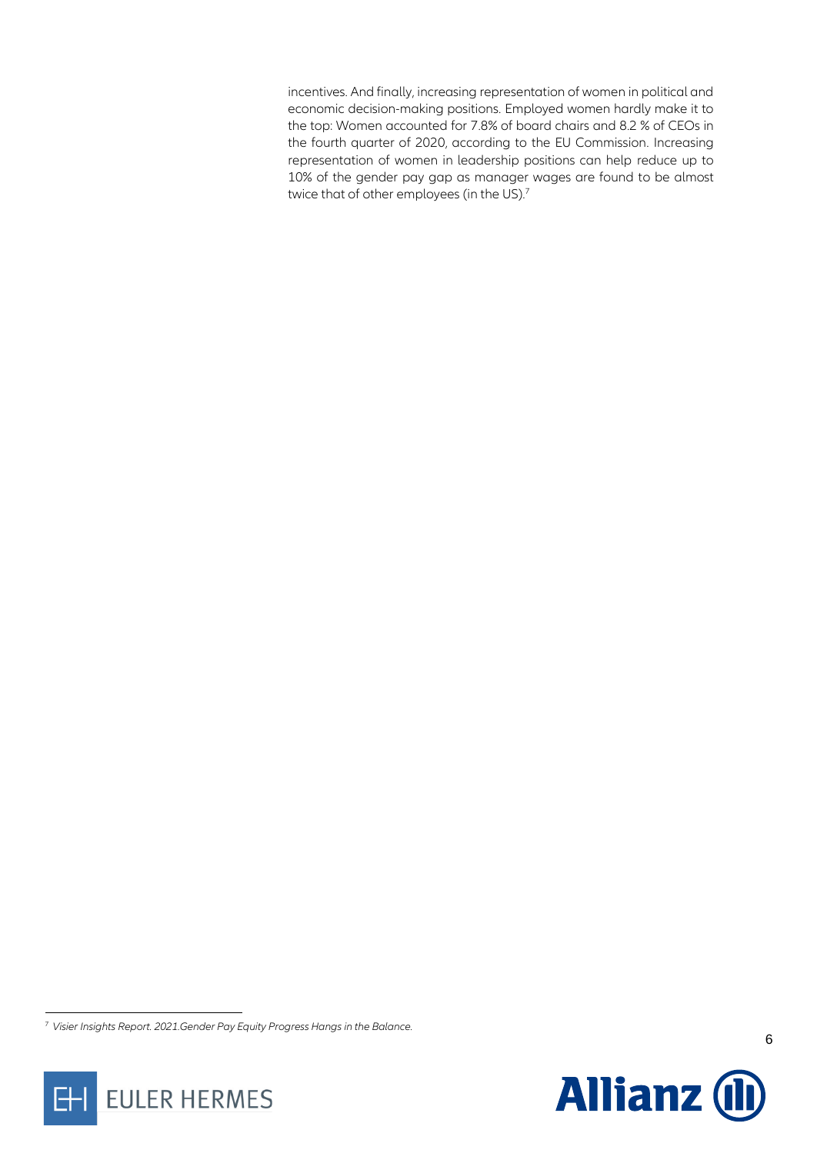incentives. And finally, increasing representation of women in political and economic decision-making positions. Employed women hardly make it to the top: Women accounted for 7.8% of board chairs and 8.2 % of CEOs in the fourth quarter of 2020, according to the EU Commission. Increasing representation of women in leadership positions can help reduce up to 10% of the gender pay gap as manager wages are found to be almost twice that of other employees (in the US). 7

EULER HERMES

EΗ



<sup>7</sup> *Visier Insights Report. 2021.Gender Pay Equity Progress Hangs in the Balance.*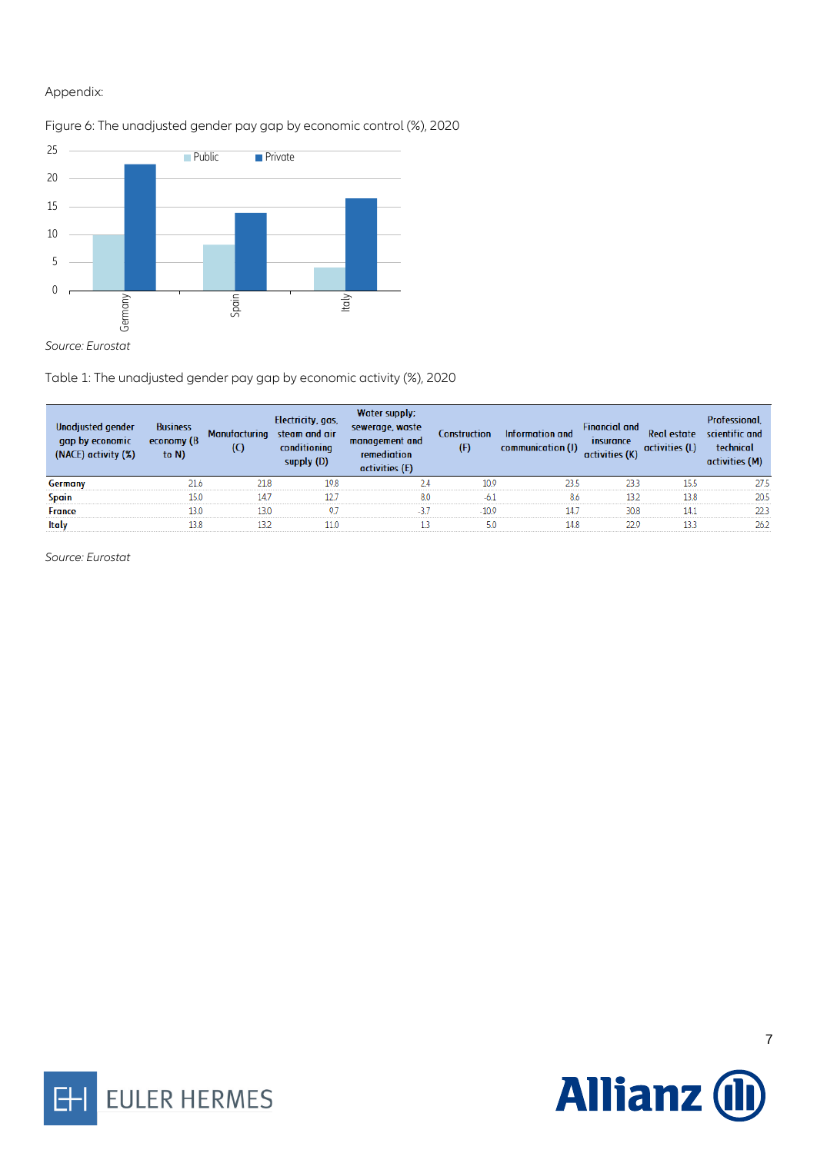#### Appendix:

## 0 5 10 15 20 25 Germany Spain Italy Public Private

Figure 6: The unadjusted gender pay gap by economic control (%), 2020

Table 1: The unadjusted gender pay gap by economic activity (%), 2020

| Unadjusted gender<br>gap by economic<br>(NACE) activity (%) | <b>Business</b><br>economy (B<br>to $N$ ) | <b>Manufacturing</b><br>(C) | Electricity, gas,<br>steam and air<br>conditioning<br>supply (D) | Water supply;<br>sewerage, waste<br>management and<br>remediation<br>activities (E) | Construction<br>(F) | Information and<br>communication (J) | <b>Financial and</b><br>insurance<br>activities (K) | <b>Real estate</b><br>activities (L) | Professional,<br>scientific and<br>technical<br>activities (M) |
|-------------------------------------------------------------|-------------------------------------------|-----------------------------|------------------------------------------------------------------|-------------------------------------------------------------------------------------|---------------------|--------------------------------------|-----------------------------------------------------|--------------------------------------|----------------------------------------------------------------|
| Germany                                                     | 21.6                                      | 21.8                        | 19.8                                                             | 24                                                                                  | 10.9                | 23.5                                 | 233                                                 | 15.5                                 | 27.5                                                           |
| Spain                                                       | 15.0                                      | 14.7                        | 12.7                                                             | 8.0                                                                                 | $-6.1$              | 8.6                                  | 132                                                 | 13.8                                 | 20.5                                                           |
| <b>France</b>                                               | 13.0                                      | 13.0                        | 9.7                                                              | $-37$                                                                               | $-10.9$             | 14.7                                 | 30.8                                                | 14.1                                 | 223                                                            |
| <b>Italy</b>                                                | 13.8                                      | 132                         | 11.0                                                             |                                                                                     | 5.0                 | 14.8                                 | 22.9                                                | 133                                  | 262                                                            |

*Source: Eurostat*



EULER HERMES

Η